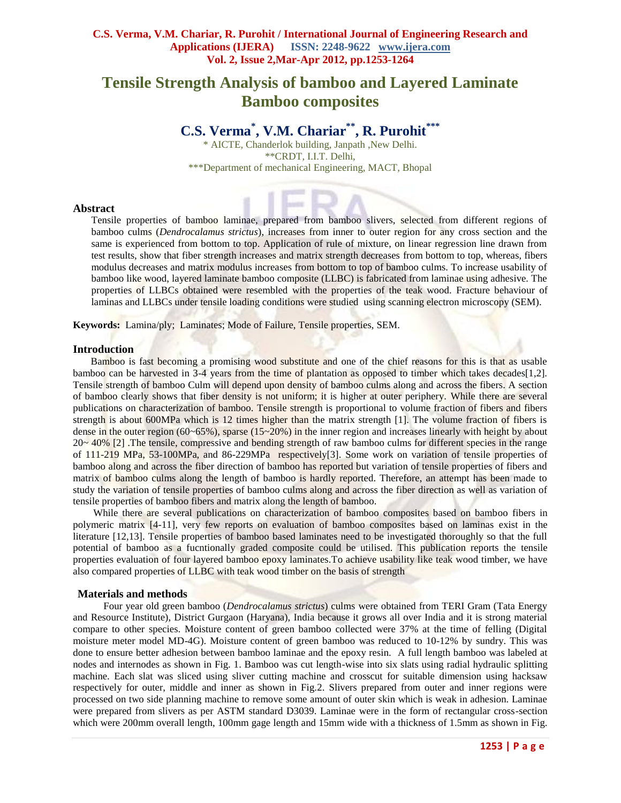# **Tensile Strength Analysis of bamboo and Layered Laminate Bamboo composites**

# **C.S. Verma\* , V.M. Chariar\*\*, R. Purohit\*\*\***

\* AICTE, Chanderlok building, Janpath ,New Delhi. \*\*CRDT, I.I.T. Delhi, \*\*\*Department of mechanical Engineering, MACT, Bhopal

# **Abstract**

Tensile properties of bamboo laminae, prepared from bamboo slivers, selected from different regions of bamboo culms (*Dendrocalamus strictus*), increases from inner to outer region for any cross section and the same is experienced from bottom to top. Application of rule of mixture, on linear regression line drawn from test results, show that fiber strength increases and matrix strength decreases from bottom to top, whereas, fibers modulus decreases and matrix modulus increases from bottom to top of bamboo culms. To increase usability of bamboo like wood, layered laminate bamboo composite (LLBC) is fabricated from laminae using adhesive. The properties of LLBCs obtained were resembled with the properties of the teak wood. Fracture behaviour of laminas and LLBCs under tensile loading conditions were studied using scanning electron microscopy (SEM).

**Keywords:** Lamina/ply; Laminates; Mode of Failure, Tensile properties, SEM.

## **Introduction**

 Bamboo is fast becoming a promising wood substitute and one of the chief reasons for this is that as usable bamboo can be harvested in 3-4 years from the time of plantation as opposed to timber which takes decades[1,2]. Tensile strength of bamboo Culm will depend upon density of bamboo culms along and across the fibers. A section of bamboo clearly shows that fiber density is not uniform; it is higher at outer periphery. While there are several publications on characterization of bamboo. Tensile strength is proportional to volume fraction of fibers and fibers strength is about 600MPa which is 12 times higher than the matrix strength [1]. The volume fraction of fibers is dense in the outer region (60~65%), sparse (15~20%) in the inner region and increases linearly with height by about  $20~40%$  [2] .The tensile, compressive and bending strength of raw bamboo culms for different species in the range of 111-219 MPa, 53-100MPa, and 86-229MPa respectively[3]. Some work on variation of tensile properties of bamboo along and across the fiber direction of bamboo has reported but variation of tensile properties of fibers and matrix of bamboo culms along the length of bamboo is hardly reported. Therefore, an attempt has been made to study the variation of tensile properties of bamboo culms along and across the fiber direction as well as variation of tensile properties of bamboo fibers and matrix along the length of bamboo.

 While there are several publications on characterization of bamboo composites based on bamboo fibers in polymeric matrix [4-11], very few reports on evaluation of bamboo composites based on laminas exist in the literature [12,13]. Tensile properties of bamboo based laminates need to be investigated thoroughly so that the full potential of bamboo as a fucntionally graded composite could be utilised. This publication reports the tensile properties evaluation of four layered bamboo epoxy laminates.To achieve usability like teak wood timber, we have also compared properties of LLBC with teak wood timber on the basis of strength

# **Materials and methods**

 Four year old green bamboo (*Dendrocalamus strictus*) culms were obtained from TERI Gram (Tata Energy and Resource Institute), District Gurgaon (Haryana), India because it grows all over India and it is strong material compare to other species. Moisture content of green bamboo collected were 37% at the time of felling (Digital moisture meter model MD-4G). Moisture content of green bamboo was reduced to 10-12% by sundry. This was done to ensure better adhesion between bamboo laminae and the epoxy resin. A full length bamboo was labeled at nodes and internodes as shown in Fig. 1. Bamboo was cut length-wise into six slats using radial hydraulic splitting machine. Each slat was sliced using sliver cutting machine and crosscut for suitable dimension using hacksaw respectively for outer, middle and inner as shown in Fig.2. Slivers prepared from outer and inner regions were processed on two side planning machine to remove some amount of outer skin which is weak in adhesion. Laminae were prepared from slivers as per ASTM standard D3039. Laminae were in the form of rectangular cross-section which were 200mm overall length, 100mm gage length and 15mm wide with a thickness of 1.5mm as shown in Fig.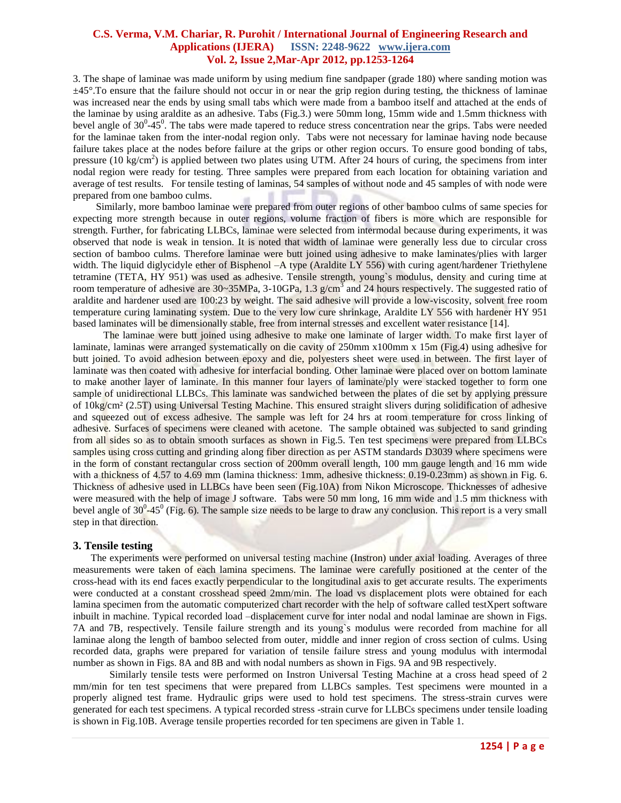3. The shape of laminae was made uniform by using medium fine sandpaper (grade 180) where sanding motion was  $\pm 45^{\circ}$ . To ensure that the failure should not occur in or near the grip region during testing, the thickness of laminae was increased near the ends by using small tabs which were made from a bamboo itself and attached at the ends of the laminae by using araldite as an adhesive. Tabs (Fig.3.) were 50mm long, 15mm wide and 1.5mm thickness with bevel angle of  $30^0$ - $45^0$ . The tabs were made tapered to reduce stress concentration near the grips. Tabs were needed for the laminae taken from the inter-nodal region only. Tabs were not necessary for laminae having node because failure takes place at the nodes before failure at the grips or other region occurs. To ensure good bonding of tabs, pressure (10 kg/cm<sup>2</sup>) is applied between two plates using UTM. After 24 hours of curing, the specimens from inter nodal region were ready for testing. Three samples were prepared from each location for obtaining variation and average of test results. For tensile testing of laminas, 54 samples of without node and 45 samples of with node were prepared from one bamboo culms.

 Similarly, more bamboo laminae were prepared from outer regions of other bamboo culms of same species for expecting more strength because in outer regions, volume fraction of fibers is more which are responsible for strength. Further, for fabricating LLBCs, laminae were selected from intermodal because during experiments, it was observed that node is weak in tension. It is noted that width of laminae were generally less due to circular cross section of bamboo culms. Therefore laminae were butt joined using adhesive to make laminates/plies with larger width. The liquid diglycidyle ether of Bisphenol –A type (Araldite LY 556) with curing agent/hardener Triethylene tetramine (TETA, HY 951) was used as adhesive. Tensile strength, young`s modulus, density and curing time at room temperature of adhesive are 30~35MPa, 3-10GPa, 1.3 g/cm<sup>3</sup> and 24 hours respectively. The suggested ratio of araldite and hardener used are 100:23 by weight. The said adhesive will provide a low-viscosity, solvent free room temperature curing laminating system. Due to the very low cure shrinkage, Araldite LY 556 with hardener HY 951 based laminates will be dimensionally stable, free from internal stresses and excellent water resistance [14].

The laminae were butt joined using adhesive to make one laminate of larger width. To make first layer of laminate, laminas were arranged systematically on die cavity of 250mm x100mm x 15m (Fig.4) using adhesive for butt joined. To avoid adhesion between epoxy and die, polyesters sheet were used in between. The first layer of laminate was then coated with adhesive for interfacial bonding. Other laminae were placed over on bottom laminate to make another layer of laminate. In this manner four layers of laminate/ply were stacked together to form one sample of unidirectional LLBCs. This laminate was sandwiched between the plates of die set by applying pressure of 10kg/cm² (2.5T) using Universal Testing Machine. This ensured straight slivers during solidification of adhesive and squeezed out of excess adhesive. The sample was left for 24 hrs at room temperature for cross linking of adhesive. Surfaces of specimens were cleaned with acetone. The sample obtained was subjected to sand grinding from all sides so as to obtain smooth surfaces as shown in Fig.5. Ten test specimens were prepared from LLBCs samples using cross cutting and grinding along fiber direction as per ASTM standards D3039 where specimens were in the form of constant rectangular cross section of 200mm overall length, 100 mm gauge length and 16 mm wide with a thickness of 4.57 to 4.69 mm (lamina thickness: 1mm, adhesive thickness: 0.19-0.23mm) as shown in Fig. 6. Thickness of adhesive used in LLBCs have been seen (Fig.10A) from Nikon Microscope. Thicknesses of adhesive were measured with the help of image J software. Tabs were 50 mm long, 16 mm wide and 1.5 mm thickness with bevel angle of  $30^0$ -45<sup>0</sup> (Fig. 6). The sample size needs to be large to draw any conclusion. This report is a very small step in that direction.

## **3. Tensile testing**

 The experiments were performed on universal testing machine (Instron) under axial loading. Averages of three measurements were taken of each lamina specimens. The laminae were carefully positioned at the center of the cross-head with its end faces exactly perpendicular to the longitudinal axis to get accurate results. The experiments were conducted at a constant crosshead speed 2mm/min. The load vs displacement plots were obtained for each lamina specimen from the automatic computerized chart recorder with the help of software called testXpert software inbuilt in machine. Typical recorded load –displacement curve for inter nodal and nodal laminae are shown in Figs. 7A and 7B, respectively. Tensile failure strength and its young`s modulus were recorded from machine for all laminae along the length of bamboo selected from outer, middle and inner region of cross section of culms. Using recorded data, graphs were prepared for variation of tensile failure stress and young modulus with intermodal number as shown in Figs. 8A and 8B and with nodal numbers as shown in Figs. 9A and 9B respectively.

Similarly tensile tests were performed on Instron Universal Testing Machine at a cross head speed of 2 mm/min for ten test specimens that were prepared from LLBCs samples. Test specimens were mounted in a properly aligned test frame. Hydraulic grips were used to hold test specimens. The stress-strain curves were generated for each test specimens. A typical recorded stress -strain curve for LLBCs specimens under tensile loading is shown in Fig.10B. Average tensile properties recorded for ten specimens are given in Table 1.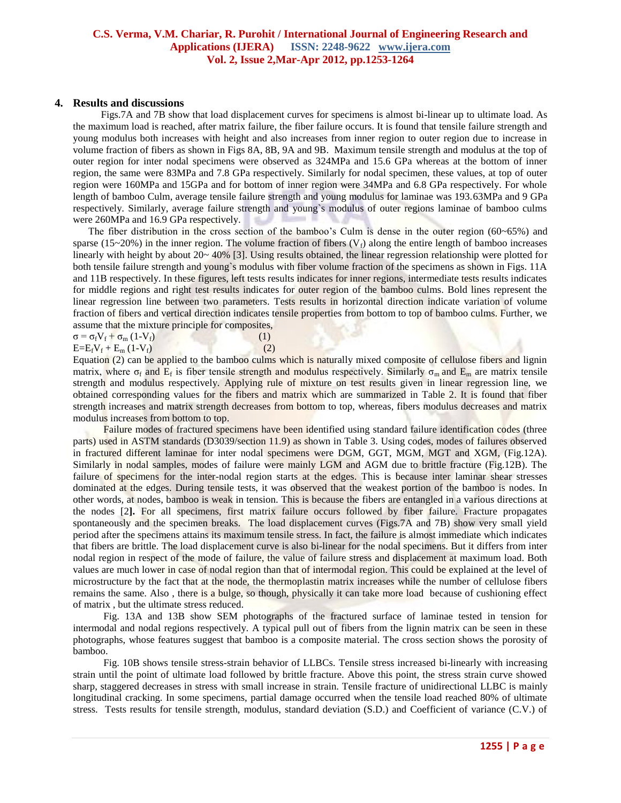## **4. Results and discussions**

 Figs.7A and 7B show that load displacement curves for specimens is almost bi-linear up to ultimate load. As the maximum load is reached, after matrix failure, the fiber failure occurs. It is found that tensile failure strength and young modulus both increases with height and also increases from inner region to outer region due to increase in volume fraction of fibers as shown in Figs 8A, 8B, 9A and 9B. Maximum tensile strength and modulus at the top of outer region for inter nodal specimens were observed as 324MPa and 15.6 GPa whereas at the bottom of inner region, the same were 83MPa and 7.8 GPa respectively. Similarly for nodal specimen, these values, at top of outer region were 160MPa and 15GPa and for bottom of inner region were 34MPa and 6.8 GPa respectively. For whole length of bamboo Culm, average tensile failure strength and young modulus for laminae was 193.63MPa and 9 GPa respectively. Similarly, average failure strength and young`s modulus of outer regions laminae of bamboo culms were 260MPa and 16.9 GPa respectively.

The fiber distribution in the cross section of the bamboo's Culm is dense in the outer region (60~65%) and sparse (15~20%) in the inner region. The volume fraction of fibers ( $V_f$ ) along the entire length of bamboo increases linearly with height by about 20~ 40% [3]. Using results obtained, the linear regression relationship were plotted for both tensile failure strength and young's modulus with fiber volume fraction of the specimens as shown in Figs. 11A and 11B respectively. In these figures, left tests results indicates for inner regions, intermediate tests results indicates for middle regions and right test results indicates for outer region of the bamboo culms. Bold lines represent the linear regression line between two parameters. Tests results in horizontal direction indicate variation of volume fraction of fibers and vertical direction indicates tensile properties from bottom to top of bamboo culms. Further, we assume that the mixture principle for composites,

| $\sigma = \sigma_f V_f + \sigma_m (1-V_f)$ | (1) |
|--------------------------------------------|-----|
| $E=E_fV_f+E_m(1-V_f)$                      | (2) |

Equation (2) can be applied to the bamboo culms which is naturally mixed composite of cellulose fibers and lignin matrix, where  $\sigma_f$  and  $E_f$  is fiber tensile strength and modulus respectively. Similarly  $\sigma_m$  and  $E_m$  are matrix tensile strength and modulus respectively. Applying rule of mixture on test results given in linear regression line, we obtained corresponding values for the fibers and matrix which are summarized in Table 2. It is found that fiber strength increases and matrix strength decreases from bottom to top, whereas, fibers modulus decreases and matrix modulus increases from bottom to top.

 Failure modes of fractured specimens have been identified using standard failure identification codes (three parts) used in ASTM standards (D3039/section 11.9) as shown in Table 3. Using codes, modes of failures observed in fractured different laminae for inter nodal specimens were DGM, GGT, MGM, MGT and XGM, (Fig.12A). Similarly in nodal samples, modes of failure were mainly LGM and AGM due to brittle fracture (Fig.12B). The failure of specimens for the inter-nodal region starts at the edges. This is because inter laminar shear stresses dominated at the edges. During tensile tests, it was observed that the weakest portion of the bamboo is nodes. In other words, at nodes, bamboo is weak in tension. This is because the fibers are entangled in a various directions at the nodes [2**].** For all specimens, first matrix failure occurs followed by fiber failure. Fracture propagates spontaneously and the specimen breaks. The load displacement curves (Figs.7A and 7B) show very small yield period after the specimens attains its maximum tensile stress. In fact, the failure is almost immediate which indicates that fibers are brittle. The load displacement curve is also bi-linear for the nodal specimens. But it differs from inter nodal region in respect of the mode of failure, the value of failure stress and displacement at maximum load. Both values are much lower in case of nodal region than that of intermodal region. This could be explained at the level of microstructure by the fact that at the node, the thermoplastin matrix increases while the number of cellulose fibers remains the same. Also , there is a bulge, so though, physically it can take more load because of cushioning effect of matrix , but the ultimate stress reduced.

 Fig. 13A and 13B show SEM photographs of the fractured surface of laminae tested in tension for intermodal and nodal regions respectively. A typical pull out of fibers from the lignin matrix can be seen in these photographs, whose features suggest that bamboo is a composite material. The cross section shows the porosity of bamboo.

 Fig. 10B shows tensile stress-strain behavior of LLBCs. Tensile stress increased bi-linearly with increasing strain until the point of ultimate load followed by brittle fracture. Above this point, the stress strain curve showed sharp, staggered decreases in stress with small increase in strain. Tensile fracture of unidirectional LLBC is mainly longitudinal cracking. In some specimens, partial damage occurred when the tensile load reached 80% of ultimate stress. Tests results for tensile strength, modulus, standard deviation (S.D.) and Coefficient of variance (C.V.) of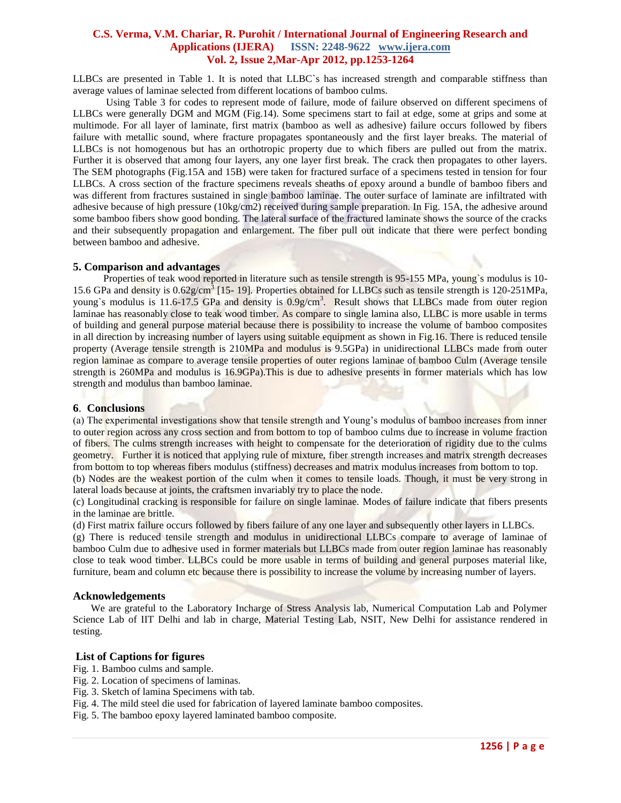LLBCs are presented in Table 1. It is noted that LLBC`s has increased strength and comparable stiffness than average values of laminae selected from different locations of bamboo culms.

 Using Table 3 for codes to represent mode of failure, mode of failure observed on different specimens of LLBCs were generally DGM and MGM (Fig.14). Some specimens start to fail at edge, some at grips and some at multimode. For all layer of laminate, first matrix (bamboo as well as adhesive) failure occurs followed by fibers failure with metallic sound, where fracture propagates spontaneously and the first layer breaks. The material of LLBCs is not homogenous but has an orthotropic property due to which fibers are pulled out from the matrix. Further it is observed that among four layers, any one layer first break. The crack then propagates to other layers. The SEM photographs (Fig.15A and 15B) were taken for fractured surface of a specimens tested in tension for four LLBCs. A cross section of the fracture specimens reveals sheaths of epoxy around a bundle of bamboo fibers and was different from fractures sustained in single bamboo laminae. The outer surface of laminate are infiltrated with adhesive because of high pressure (10kg/cm2) received during sample preparation. In Fig. 15A, the adhesive around some bamboo fibers show good bonding. The lateral surface of the fractured laminate shows the source of the cracks and their subsequently propagation and enlargement. The fiber pull out indicate that there were perfect bonding between bamboo and adhesive.

## **5. Comparison and advantages**

Properties of teak wood reported in literature such as tensile strength is 95-155 MPa, young's modulus is 10-15.6 GPa and density is  $0.62$ g/cm<sup>3</sup> [15-19]. Properties obtained for LLBCs such as tensile strength is 120-251MPa, young's modulus is 11.6-17.5 GPa and density is 0.9g/cm<sup>3</sup>. Result shows that LLBCs made from outer region laminae has reasonably close to teak wood timber. As compare to single lamina also, LLBC is more usable in terms of building and general purpose material because there is possibility to increase the volume of bamboo composites in all direction by increasing number of layers using suitable equipment as shown in Fig.16. There is reduced tensile property (Average tensile strength is 210MPa and modulus is 9.5GPa) in unidirectional LLBCs made from outer region laminae as compare to average tensile properties of outer regions laminae of bamboo Culm (Average tensile strength is 260MPa and modulus is 16.9GPa).This is due to adhesive presents in former materials which has low strength and modulus than bamboo laminae.

# **6**. **Conclusions**

(a) The experimental investigations show that tensile strength and Young's modulus of bamboo increases from inner to outer region across any cross section and from bottom to top of bamboo culms due to increase in volume fraction of fibers. The culms strength increases with height to compensate for the deterioration of rigidity due to the culms geometry. Further it is noticed that applying rule of mixture, fiber strength increases and matrix strength decreases from bottom to top whereas fibers modulus (stiffness) decreases and matrix modulus increases from bottom to top.

(b) Nodes are the weakest portion of the culm when it comes to tensile loads. Though, it must be very strong in lateral loads because at joints, the craftsmen invariably try to place the node.

(c) Longitudinal cracking is responsible for failure on single laminae. Modes of failure indicate that fibers presents in the laminae are brittle.

(d) First matrix failure occurs followed by fibers failure of any one layer and subsequently other layers in LLBCs.

(g) There is reduced tensile strength and modulus in unidirectional LLBCs compare to average of laminae of bamboo Culm due to adhesive used in former materials but LLBCs made from outer region laminae has reasonably close to teak wood timber. LLBCs could be more usable in terms of building and general purposes material like, furniture, beam and column etc because there is possibility to increase the volume by increasing number of layers.

#### **Acknowledgements**

 We are grateful to the Laboratory Incharge of Stress Analysis lab, Numerical Computation Lab and Polymer Science Lab of IIT Delhi and lab in charge, Material Testing Lab, NSIT, New Delhi for assistance rendered in testing.

# **List of Captions for figures**

- Fig. 1. Bamboo culms and sample.
- Fig. 2. Location of specimens of laminas.
- Fig. 3. Sketch of lamina Specimens with tab.
- Fig. 4. The mild steel die used for fabrication of layered laminate bamboo composites.
- Fig. 5. The bamboo epoxy layered laminated bamboo composite.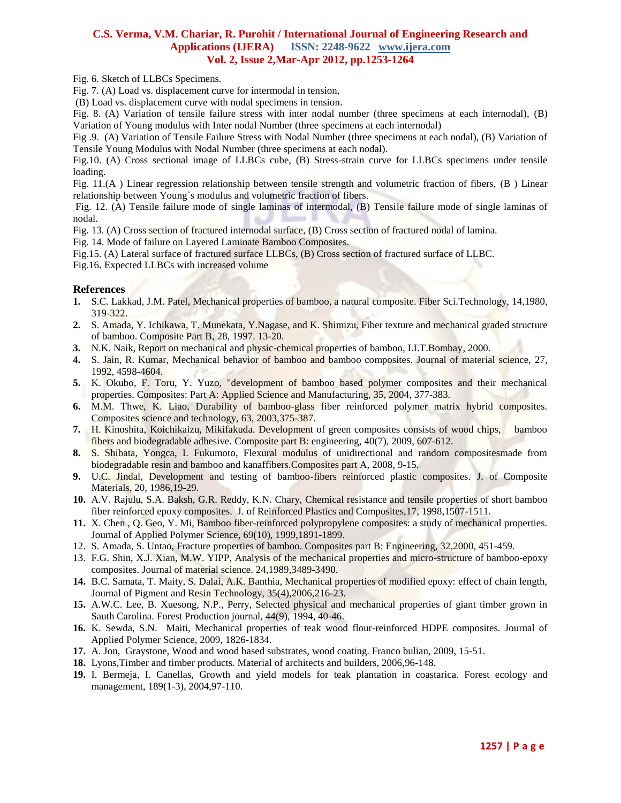Fig. 6. Sketch of LLBCs Specimens.

Fig. 7. (A) Load vs. displacement curve for intermodal in tension,

(B) Load vs. displacement curve with nodal specimens in tension.

Fig. 8. (A) Variation of tensile failure stress with inter nodal number (three specimens at each internodal), (B) Variation of Young modulus with Inter nodal Number (three specimens at each internodal)

Fig .9. (A) Variation of Tensile Failure Stress with Nodal Number (three specimens at each nodal), (B) Variation of Tensile Young Modulus with Nodal Number (three specimens at each nodal).

Fig.10. (A) Cross sectional image of LLBCs cube, (B) Stress-strain curve for LLBCs specimens under tensile loading.

Fig. 11.(A ) Linear regression relationship between tensile strength and volumetric fraction of fibers, (B ) Linear relationship between Young`s modulus and volumetric fraction of fibers.

Fig. 12. (A) Tensile failure mode of single laminas of intermodal, (B) Tensile failure mode of single laminas of nodal.

Fig. 13. (A) Cross section of fractured internodal surface, (B) Cross section of fractured nodal of lamina.

Fig. 14. Mode of failure on Layered Laminate Bamboo Composites.

Fig.15. (A) Lateral surface of fractured surface LLBCs, (B) Cross section of fractured surface of LLBC.

Fig.16**.** Expected LLBCs with increased volume

# **References**

- **1.** S.C. Lakkad, J.M. Patel, Mechanical properties of bamboo, a natural composite. Fiber Sci.Technology, 14,1980, 319-322.
- **2.** S. Amada, Y. Ichikawa, T. Munekata, Y.Nagase, and K. Shimizu, Fiber texture and mechanical graded structure of bamboo. Composite Part B, 28, 1997. 13-20.
- **3.** N.K. Naik, Report on mechanical and physic-chemical properties of bamboo, I.I.T.Bombay, 2000.
- **4.** S. Jain, R. Kumar, Mechanical behavior of bamboo and bamboo composites. Journal of material science, 27, 1992, 4598-4604.
- **5.** K. Okubo, F. Toru, Y. Yuzo, "development of bamboo based polymer composites and their mechanical properties. Composites: Part A: Applied Science and Manufacturing, 35, 2004, 377-383.
- **6.** M.M. Thwe, K. Liao, Durability of bamboo-glass fiber reinforced polymer matrix hybrid composites. Composites science and technology, 63, 2003,375-387.
- **7.** H. Kinoshita, Koichikaizu, Mikifakuda. Development of green composites consists of wood chips, bamboo fibers and biodegradable adhesive. Composite part B: engineering, 40(7), 2009, 607-612.
- **8.** S. Shibata, Yongca, I. Fukumoto, Flexural modulus of unidirectional and random compositesmade from biodegradable resin and bamboo and kanaffibers.Composites part A, 2008, 9-15.
- **9.** U.C. Jindal, Development and testing of bamboo-fibers reinforced plastic composites. J. of Composite Materials, 20, 1986,19-29.
- **10.** A.V. Rajulu, S.A. Baksh, G.R. Reddy, K.N. Chary, Chemical resistance and tensile properties of short bamboo fiber reinforced epoxy composites. J. of Reinforced Plastics and Composites,17, 1998,1507-1511.
- **11.** X. Chen , Q. Geo, Y. Mi, Bamboo fiber-reinforced polypropylene composites: a study of mechanical properties. Journal of Applied Polymer Science, 69(10), 1999,1891-1899.
- 12. S. Amada, S. Untao, Fracture properties of bamboo. Composites part B: Engineering, 32,2000, 451-459.
- 13. F.G. Shin, X.J. Xian, M.W. YIPP, Analysis of the mechanical properties and micro-structure of bamboo-epoxy composites. Journal of material science. 24,1989,3489-3490.
- **14.** B.C. Samata, T. Maity, S. Dalai, A.K. Banthia, Mechanical properties of modified epoxy: effect of chain length, Journal of Pigment and Resin Technology, 35(4),2006,216-23.
- **15.** A.W.C. Lee, B. Xuesong, N.P., Perry, Selected physical and mechanical properties of giant timber grown in Sauth Carolina. Forest Production journal, 44(9), 1994, 40-46.
- **16.** K. Sewda, S.N. Maiti, Mechanical properties of teak wood flour-reinforced HDPE composites. Journal of Applied Polymer Science, 2009, 1826-1834.
- **17.** A. Jon, Graystone, Wood and wood based substrates, wood coating. Franco bulian, 2009, 15-51.
- **18.** Lyons,Timber and timber products. Material of architects and builders, 2006,96-148.
- **19.** I. Bermeja, I. Canellas, Growth and yield models for teak plantation in coastarica. Forest ecology and management, 189(1-3), 2004,97-110.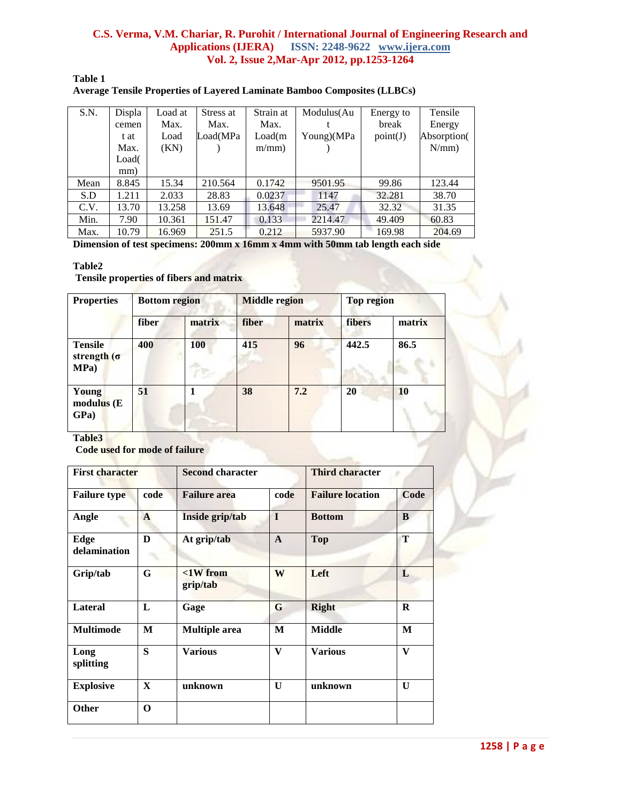**Table 1**

| Average Tensile Properties of Layered Laminate Bamboo Composites (LLBCs) |
|--------------------------------------------------------------------------|
|--------------------------------------------------------------------------|

| S.N. | Displa | Load at | Stress at | Strain at | Modulus(Au | Energy to | Tensile     |
|------|--------|---------|-----------|-----------|------------|-----------|-------------|
|      | cemen  | Max.    | Max.      | Max.      |            | break     | Energy      |
|      | t at   | Load    | Load(MPa  | Load(m)   | Young)(MPa | point(J)  | Absorption( |
|      | Max.   | (KN)    |           | $m/mm$ )  |            |           | $N/mm$ )    |
|      | Load(  |         |           |           |            |           |             |
|      | mm)    |         |           |           |            |           |             |
| Mean | 8.845  | 15.34   | 210.564   | 0.1742    | 9501.95    | 99.86     | 123.44      |
| S.D  | 1.211  | 2.033   | 28.83     | 0.0237    | 1147       | 32.281    | 38.70       |
| C.V. | 13.70  | 13.258  | 13.69     | 13.648    | 25.47      | 32.32     | 31.35       |
| Min. | 7.90   | 10.361  | 151.47    | 0.133     | 2214.47    | 49.409    | 60.83       |
| Max. | 10.79  | 16.969  | 251.5     | 0.212     | 5937.90    | 169.98    | 204.69      |

**Dimension of test specimens: 200mm x 16mm x 4mm with 50mm tab length each side**

## **Table2**

**Tensile properties of fibers and matrix**

| <b>Properties</b>                             | <b>Bottom region</b> |        | <b>Middle region</b> |        | <b>Top region</b> |           |
|-----------------------------------------------|----------------------|--------|----------------------|--------|-------------------|-----------|
|                                               | fiber                | matrix | fiber                | matrix | fibers            | matrix    |
| <b>Tensile</b><br>strength $(\sigma)$<br>MPa) | 400                  | 100    | 415                  | 96     | 442.5             | 86.5      |
| Young<br>modulus(E)<br>GPa)                   | 51                   |        | 38                   | 7.2    | 20                | <b>10</b> |

**Table3**

**Code used for mode of failure**

| <b>First character</b> |              | <b>Second character</b>       |              | <b>Third character</b>  |             |  |
|------------------------|--------------|-------------------------------|--------------|-------------------------|-------------|--|
| <b>Failure type</b>    | code         | <b>Failure area</b>           | code         | <b>Failure location</b> | Code        |  |
| Angle                  | $\mathbf{A}$ | Inside grip/tab               | I            | <b>Bottom</b>           | B           |  |
| Edge<br>delamination   | D            | At grip/tab                   | $\mathbf{A}$ | <b>Top</b>              | T           |  |
| Grip/tab               | G            | $\langle$ 1W from<br>grip/tab | W            | Left                    | L           |  |
| <b>Lateral</b>         | L            | Gage                          | G            | <b>Right</b>            | $\mathbf R$ |  |
| <b>Multimode</b>       | M            | <b>Multiple</b> area          | M            | <b>Middle</b>           | M           |  |
| Long<br>splitting      | S            | <b>Various</b>                | V            | <b>Various</b>          | V           |  |
| <b>Explosive</b>       | $\mathbf{X}$ | unknown                       | $\mathbf{U}$ | unknown                 | U           |  |
| <b>Other</b>           | $\mathbf 0$  |                               |              |                         |             |  |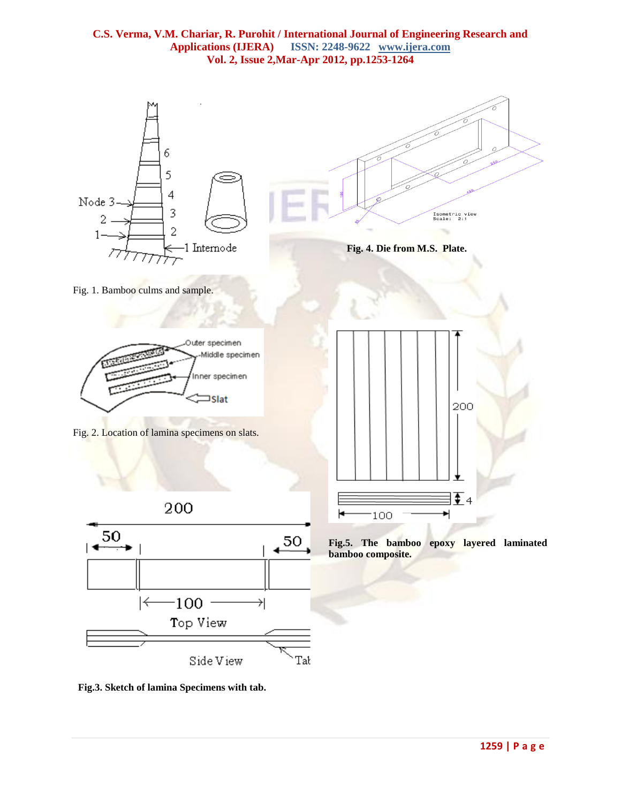

 **Fig.3. Sketch of lamina Specimens with tab.**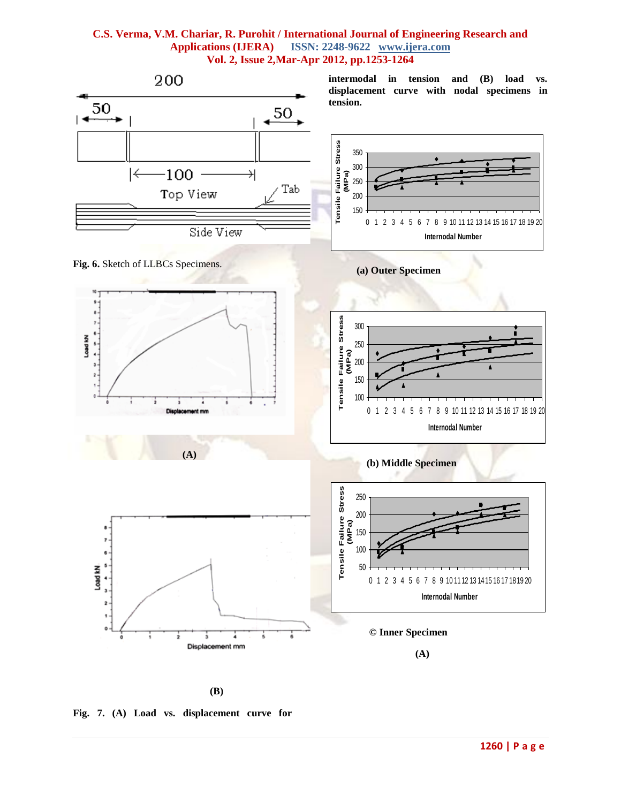

**(B)**

**Fig. 7. (A) Load vs. displacement curve for**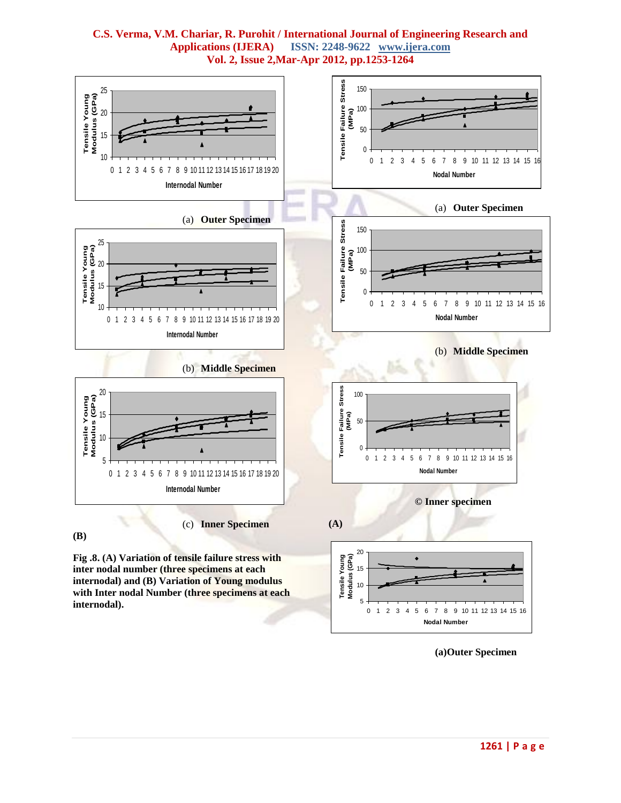

**C.S. Verma, V.M. Chariar, R. Purohit / International Journal of Engineering Research and Applications (IJERA) ISSN: 2248-9622 www.ijera.com Vol. 2, Issue 2,Mar-Apr 2012, pp.1253-1264**

**(a)Outer Specimen**

0 1 2 3 4 5 6 7 8 9 10 11 12 13 14 15 16 **Nodal Number**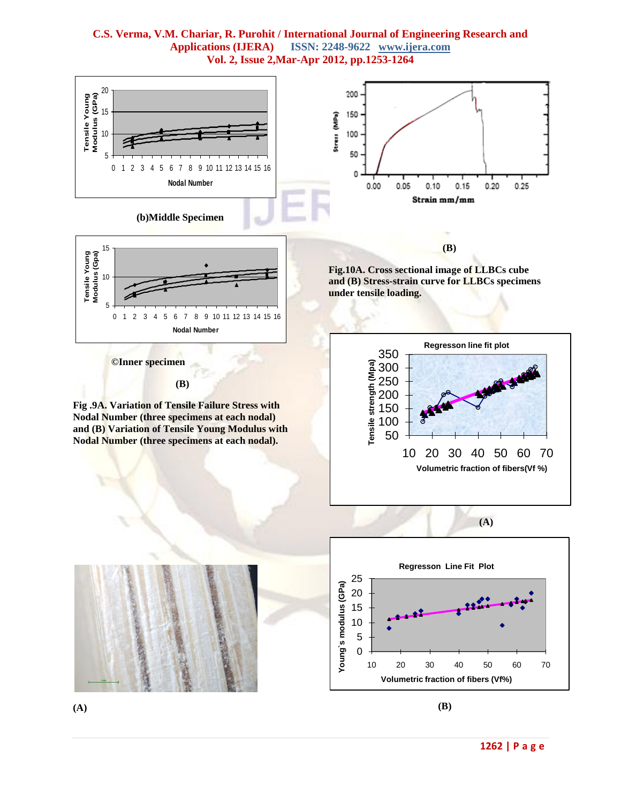

**(B)**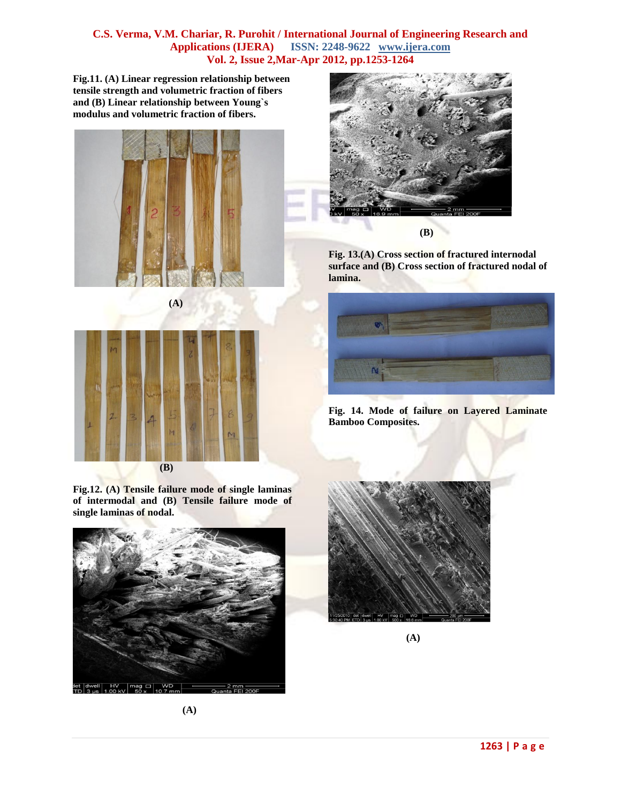**Fig.11. (A) Linear regression relationship between tensile strength and volumetric fraction of fibers and (B) Linear relationship between Young`s modulus and volumetric fraction of fibers.**





**Fig.12. (A) Tensile failure mode of single laminas of intermodal and (B) Tensile failure mode of single laminas of nodal.**





**Fig. 13.(A) Cross section of fractured internodal surface and (B) Cross section of fractured nodal of lamina.**



**Fig. 14. Mode of failure on Layered Laminate Bamboo Composites.**



**(A)**